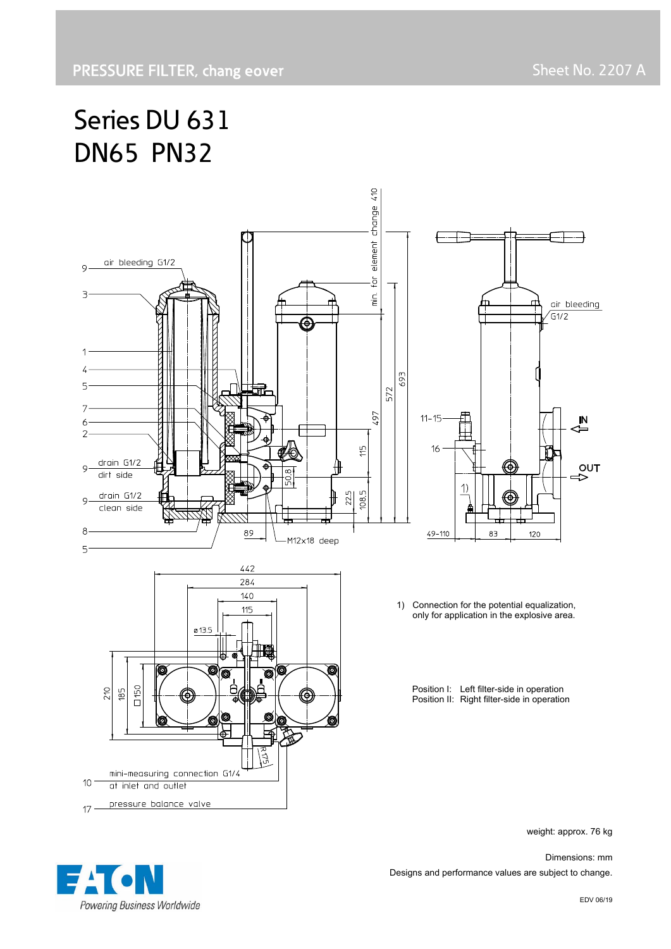# Series DU 631 DN65 PN32



weight: approx. 76 kg

 Dimensions: mm Designs and performance values are subject to change.

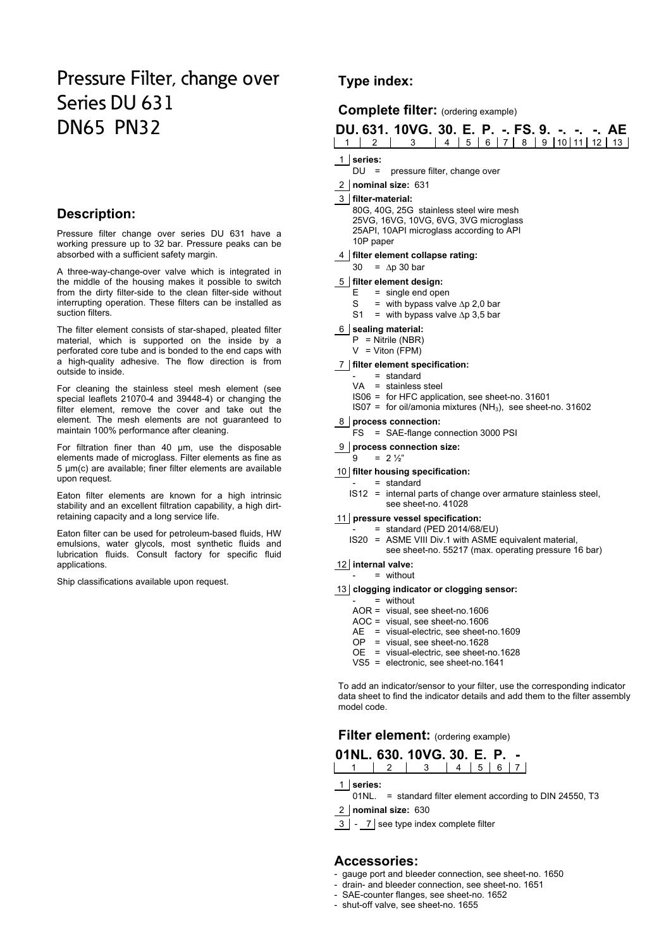# Pressure Filter, change over Series DU 631 DN65 PN32

#### **Description:**

Pressure filter change over series DU 631 have a working pressure up to 32 bar. Pressure peaks can be absorbed with a sufficient safety margin.

A three-way-change-over valve which is integrated in the middle of the housing makes it possible to switch from the dirty filter-side to the clean filter-side without interrupting operation. These filters can be installed as suction filters.

The filter element consists of star-shaped, pleated filter material, which is supported on the inside by a perforated core tube and is bonded to the end caps with a high-quality adhesive. The flow direction is from outside to inside.

For cleaning the stainless steel mesh element (see special leaflets 21070-4 and 39448-4) or changing the filter element, remove the cover and take out the element. The mesh elements are not guaranteed to maintain 100% performance after cleaning.

For filtration finer than 40 μm, use the disposable elements made of microglass. Filter elements as fine as 5 μm(c) are available; finer filter elements are available upon request.

Eaton filter elements are known for a high intrinsic stability and an excellent filtration capability, a high dirtretaining capacity and a long service life.

Eaton filter can be used for petroleum-based fluids, HW emulsions, water glycols, most synthetic fluids and lubrication fluids. Consult factory for specific fluid applications.

Ship classifications available upon request.

# **Type index:**

#### **Complete filter:** (ordering example)

|  | DU, 631, 10VG, 30, E, P, -, FS, 9, -, -, -, AE |  |  |  |  |  |  |
|--|------------------------------------------------|--|--|--|--|--|--|
|  | 1 1 2 3 4 5 6 7 8 9 10 11 12 13                |  |  |  |  |  |  |

#### 1 **series:**

- DU = pressure filter, change over
- 2 **nominal size:** 631

#### 3 **filter-material:**

80G, 40G, 25G stainless steel wire mesh 25VG, 16VG, 10VG, 6VG, 3VG microglass 25API, 10API microglass according to API 10P paper

#### 4 **filter element collapse rating:**

 $30 = \Delta p 30$  bar

#### 5 **filter element design:**

- $E = \text{single end open}$ <br>S = with bypass valv
- = with bypass valve  $\Delta p$  2,0 bar
- S1 = with bypass valve  $\Delta p$  3,5 bar

#### 6 **sealing material:**

- P = Nitrile (NBR)
- $V = Viton (FPM)$

#### 7 **filter element specification:**

- = standard
- VA = stainless steel IS06 = for HFC application, see sheet-no. 31601
- IS07 = for oil/amonia mixtures (NH<sub>3</sub>), see sheet-no. 31602

#### 8 **process connection:**

- FS = SAE-flange connection 3000 PSI
- 9 **process connection size:**

#### $9 = 2\frac{1}{2}$

- 10 **filter housing specification:**
	- = standard
		- IS12 = internal parts of change over armature stainless steel, see sheet-no. 41028

#### 11 **pressure vessel specification:**

- $=$  standard (PED 2014/68/EU)
- IS20 = ASME VIII Div.1 with ASME equivalent material, see sheet-no. 55217 (max. operating pressure 16 bar)

#### 12 **internal valve:**

#### - = without

- 13 **clogging indicator or clogging sensor:**
- $=$  without
	- AOR = visual, see sheet-no.1606
	- AOC = visual, see sheet-no.1606
	- AE = visual-electric, see sheet-no.1609
	- OP = visual, see sheet-no.1628
	- OE = visual-electric, see sheet-no.1628
	- VS5 = electronic, see sheet-no.1641

To add an indicator/sensor to your filter, use the corresponding indicator data sheet to find the indicator details and add them to the filter assembly model code.

### **Filter element:** (ordering example)

#### **01NL. 630. 10VG. 30. E. P. -**  1 2 3 4 5 6 7

- 1 **series:**
	- 01NL. = standard filter element according to DIN 24550, T3
- 2 **nominal size:** 630
- 3 7 see type index complete filter

#### **Accessories:**

- gauge port and bleeder connection, see sheet-no. 1650
- drain- and bleeder connection, see sheet-no. 1651
- SAE-counter flanges, see sheet-no. 1652
- shut-off valve, see sheet-no. 1655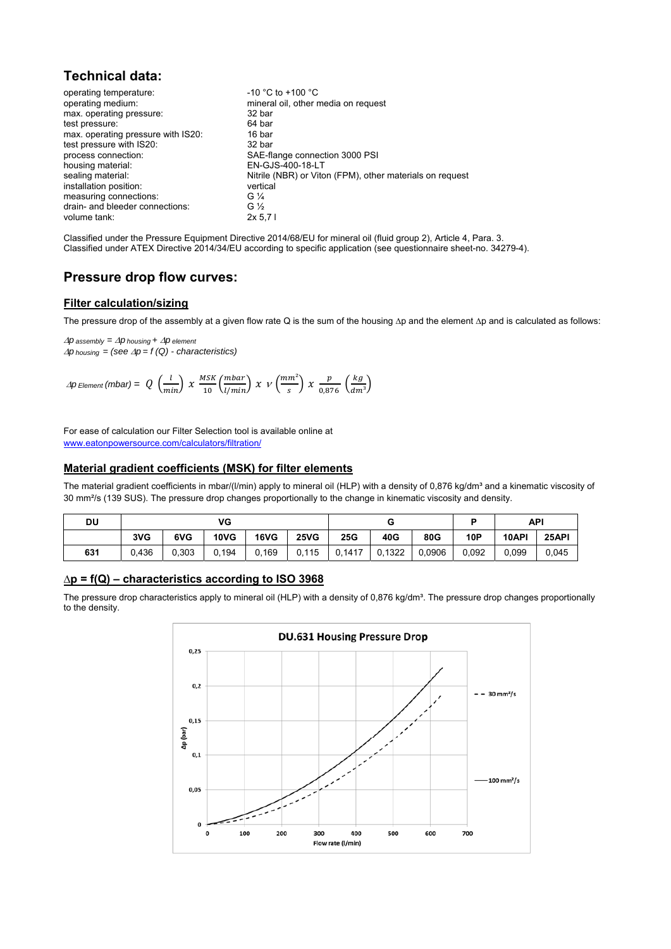# **Technical data:**

| operating temperature:             | $-10$ °C to $+100$ °C                                    |
|------------------------------------|----------------------------------------------------------|
| operating medium:                  | mineral oil, other media on request                      |
| max. operating pressure:           | 32 bar                                                   |
| test pressure:                     | 64 bar                                                   |
| max. operating pressure with IS20: | 16 bar                                                   |
| test pressure with IS20:           | 32 bar                                                   |
| process connection:                | SAE-flange connection 3000 PSI                           |
| housing material:                  | EN-GJS-400-18-LT                                         |
| sealing material:                  | Nitrile (NBR) or Viton (FPM), other materials on request |
| installation position:             | vertical                                                 |
| measuring connections:             | G $\frac{1}{4}$                                          |
| drain- and bleeder connections:    | G $\frac{1}{2}$                                          |
| volume tank:                       | 2x 5.71                                                  |

Classified under the Pressure Equipment Directive 2014/68/EU for mineral oil (fluid group 2), Article 4, Para. 3. Classified under ATEX Directive 2014/34/EU according to specific application (see questionnaire sheet-no. 34279-4).

### **Pressure drop flow curves:**

#### **Filter calculation/sizing**

The pressure drop of the assembly at a given flow rate Q is the sum of the housing ∆p and the element ∆p and is calculated as follows:

 $\Delta p$  assembly =  $\Delta p$  housing +  $\Delta p$  element  $\Delta p$  *housing* = (see  $\Delta p$  = f (Q) - characteristics)

$$
\varDelta p \text{ Element (mbar)} = Q\ \left(\frac{l}{min}\right)\ \chi\ \frac{\text{MSK}}{10}\left(\frac{mbar}{l/min}\right)\ \chi\ \nu\left(\frac{mm^2}{s}\right)\ \chi\ \frac{p}{0.876}\ \left(\frac{kg}{dm^3}\right)
$$

For ease of calculation our Filter Selection tool is available online at www.eatonpowersource.com/calculators/filtration/

#### **Material gradient coefficients (MSK) for filter elements**

The material gradient coefficients in mbar/(I/min) apply to mineral oil (HLP) with a density of 0,876 kg/dm<sup>3</sup> and a kinematic viscosity of 30 mm²/s (139 SUS). The pressure drop changes proportionally to the change in kinematic viscosity and density.

| DU  |       |       | VG          |             |             |     |     |        |            | API   |       |
|-----|-------|-------|-------------|-------------|-------------|-----|-----|--------|------------|-------|-------|
|     | 3VG   | 6VG   | <b>10VG</b> | <b>16VG</b> | <b>25VG</b> | 25G | 40G | 80G    | <b>10P</b> | 10API | 25API |
| 631 | 0,436 | 0,303 | 0,194       |             |             |     |     | 0,0906 | 0,092      | 0,099 | 0,045 |

#### **∆p = f(Q) – characteristics according to ISO 3968**

The pressure drop characteristics apply to mineral oil (HLP) with a density of 0,876 kg/dm<sup>3</sup>. The pressure drop changes proportionally to the density.